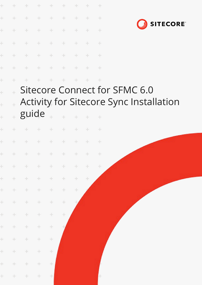| ÷         | ÷               | $\frac{1}{2}$ . | $\frac{1}{2}$ | $\frac{1}{2}$ | $\pm$         | $+$           | $+$           | $\div$        |                                                |  |
|-----------|-----------------|-----------------|---------------|---------------|---------------|---------------|---------------|---------------|------------------------------------------------|--|
| ÷         | $\pm$           | $\frac{1}{2}$ . | $\rightarrow$ | $\frac{1}{2}$ | $\pm$         | ÷             | $\frac{1}{2}$ | $\rightarrow$ |                                                |  |
| ÷         | ÷.              | $\div$          | $\div$        | ÷             | ÷             | ÷             | ÷             | ÷             | <b>SITECORE</b>                                |  |
| ÷         | $\frac{1}{2}$ . | $\div$          | $\rightarrow$ | ÷             | $\frac{1}{2}$ | $\div$        |               | $\div$        |                                                |  |
| ÷         |                 | ÷.              | $\pm$         | $\frac{1}{2}$ | ÷             | $\div$        |               | $\div$        |                                                |  |
| ÷         |                 |                 | $\frac{1}{2}$ | $\frac{1}{2}$ |               | $\frac{1}{2}$ |               | $\frac{1}{2}$ |                                                |  |
| ÷         |                 |                 | ÷             | ÷             |               | ÷             |               | $\div$        |                                                |  |
| Ł         |                 |                 |               |               |               |               |               |               | Sitecore Connect for SFMC 6.0                  |  |
| $\ddot{}$ | $+$             |                 |               |               |               |               |               |               | <b>Activity for Sitecore Sync Installation</b> |  |
| $\ddot{}$ | $\frac{1}{2}$   | guide           |               | $\frac{1}{2}$ |               |               |               | ÷             |                                                |  |
|           |                 |                 |               |               |               |               |               |               |                                                |  |
| ÷         |                 |                 |               |               |               | ÷             | $+$           | $+$           |                                                |  |
| ÷         | ÷               |                 | ÷             | $\frac{1}{2}$ | ÷             | ÷             |               | ÷             |                                                |  |
|           |                 |                 | + + + + +     |               | $+ + + +$     |               |               | $+$           |                                                |  |
| ÷.        | $+$             | $\pm$           | $+$ .         | $\pm$         | $\pm$         | $\div$        | $+$           | $\div$        |                                                |  |
| ÷.        | $+$             | $\pm$           | $\div$        | ÷             | $\pm$         | $\pm$         | $\pm$         |               |                                                |  |
| $\pm$     | $+$             | $\pm$           | ÷.            | ÷             | ÷.            | $\div$        |               |               |                                                |  |
| $\pm$     | $+$             | $\pm$           | ÷.            | ÷             | ÷             |               |               |               |                                                |  |
| ÷.        | $+$             | $\pm$           | $\pm$         | ÷             | ÷             |               |               |               |                                                |  |
| ÷.        | $+$             | $\pm$           | ÷             | ÷             |               |               |               |               |                                                |  |
| ÷.        | $+$             | $\pm$           | ÷             | $\pm$         |               |               |               |               |                                                |  |
| ÷.        | $\pm$           | ÷.              | ÷.            | ÷             |               |               |               |               |                                                |  |
| ÷.        | $\pm$           | $\pm$           | ÷.            | ÷             |               |               |               |               |                                                |  |
| ÷.        | $\div$          | $\div$          | $\pm$         | ÷.            |               |               |               | ÷.            |                                                |  |
|           |                 |                 |               |               |               |               |               |               |                                                |  |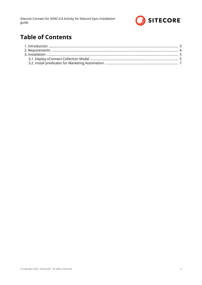

# **Table of Contents**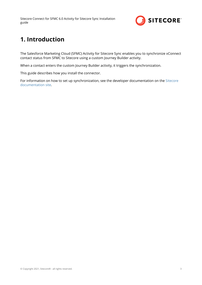<span id="page-2-0"></span>Sitecore Connect for SFMC 6.0 Activity for Sitecore Sync Installation guide



## **1. Introduction**

The Salesforce Marketing Cloud (SFMC) Activity for Sitecore Sync enables you to synchronize xConnect contact status from SFMC to Sitecore using a custom Journey Builder activity.

When a contact enters the custom Journey Builder activity, it triggers the synchronization.

This guide describes how you install the connector.

For information on how to set up synchronization, see the developer documentation on the [Sitecore](https://doc.sitecore.com/developers) [documentation site](https://doc.sitecore.com/developers).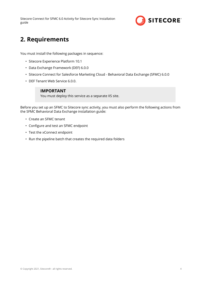<span id="page-3-0"></span>Sitecore Connect for SFMC 6.0 Activity for Sitecore Sync Installation guide



## **2. Requirements**

You must install the following packages in sequence:

- Sitecore Experience Platform 10.1
- Data Exchange Framework (DEF) 6.0.0
- Sitecore Connect for Salesforce Marketing Cloud Behavioral Data Exchange (SFMC) 6.0.0
- DEF Tenant Web Service 6.0.0.

#### **IMPORTANT**

You must deploy this service as a separate IIS site.

Before you set up an SFMC to Sitecore sync activity, you must also perform the following actions from the SFMC Behavioral Data Exchange installation guide:

- Create an SFMC tenant
- Configure and test an SFMC endpoint
- Test the xConnect endpoint
- Run the pipeline batch that creates the required data folders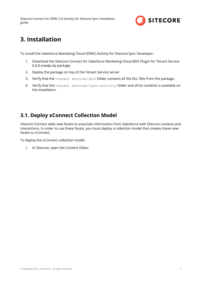

## <span id="page-4-0"></span>**3. Installation**

To install the Salesforce Marketing Cloud (SFMC) Activity for Sitecore Sync Developer:

- 1. Download the Sitecore Connect for Salesforce Marketing Cloud-BDE Plugin for Tenant Service 6.0.0.scwdp.zip package.
- 2. Deploy the package on top of the Tenant Service server.
- 3. Verify that the  $\t{t}$  service $>\$ in folder contains all the DLL files from the package.
- 4. Verify that the <tenant service>\sync-activity folder and all its contents is available on the installation.

### **3.1. Deploy xConnect Collection Model**

Sitecore Connect adds new facets to associate information from Salesforce with Sitecore contacts and interactions. In order to use these facets, you must deploy a collection model that creates these new facets to xConnect.

To deploy the xConnect collection model:

1. In Sitecore, open the Content Editor.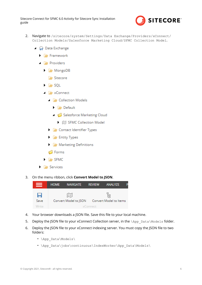Sitecore Connect for SFMC 6.0 Activity for Sitecore Sync Installation guide



- 2. Navigate to /sitecore/system/Settings/Data Exchange/Providers/xConnect/ Collection Models/Salesforce Marketing Cloud/SFMC Collection Model.
	- ▲ A Data Exchange
		- $\blacktriangleright$   $\blacktriangleright$  Framework
		- $\blacksquare$  Providers
			- $\blacktriangleright$   $\blacktriangleright$  MongoDB
				- **Sitecore**
			- $\blacktriangleright$   $\blacktriangleright$  SQL
			- **A** XConnect
				- **Collection Models** 
					- $\blacktriangleright$   $\blacktriangleright$  Default
					- Salesforce Marketing Cloud
						- ▶ 图 SFMC Collection Model
				- Contact Identifier Types
				- **Fig. Entity Types**
				- Marketing Definitions
				- **S** Forms
			- $\blacktriangleright$   $\blacktriangleright$  SFMC
		- $\blacktriangleright$   $\blacktriangleright$  Services
- 3. On the menu ribbon, click **Convert Model to JSON**.



- 4. Your browser downloads a JSON file. Save this file to your local machine.
- 5. Deploy the JSON file to your xConnect Collection server, in the  $\lambda_{\text{app}\text{Data}\text{Models}}$  folder.
- 6. Deploy the JSON file to your xConnect indexing server. You must copy the JSON file to two folders:
	- \App\_Data\Models\
	- \App\_Data\jobs\continuous\IndexWorker\App\_Data\Models\